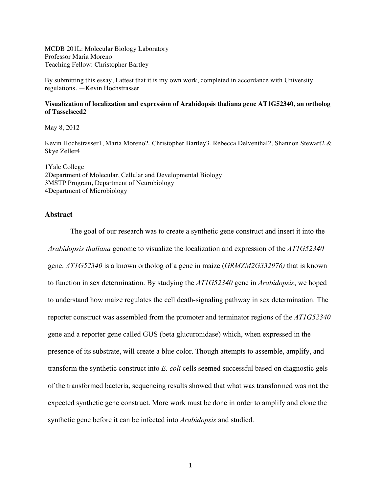MCDB 201L: Molecular Biology Laboratory Professor Maria Moreno Teaching Fellow: Christopher Bartley

By submitting this essay, I attest that it is my own work, completed in accordance with University regulations. —Kevin Hochstrasser

#### **Visualization of localization and expression of Arabidopsis thaliana gene AT1G52340, an ortholog of Tasselseed2**

May 8, 2012

Kevin Hochstrasser1, Maria Moreno2, Christopher Bartley3, Rebecca Delventhal2, Shannon Stewart2 & Skye Zeller4

1Yale College 2Department of Molecular, Cellular and Developmental Biology 3MSTP Program, Department of Neurobiology 4Department of Microbiology

#### **Abstract**

The goal of our research was to create a synthetic gene construct and insert it into the *Arabidopsis thaliana* genome to visualize the localization and expression of the *AT1G52340*  gene. *AT1G52340* is a known ortholog of a gene in maize (*GRMZM2G332976)* that is known to function in sex determination. By studying the *AT1G52340* gene in *Arabidopsis*, we hoped to understand how maize regulates the cell death-signaling pathway in sex determination. The reporter construct was assembled from the promoter and terminator regions of the *AT1G52340*  gene and a reporter gene called GUS (beta glucuronidase) which, when expressed in the presence of its substrate, will create a blue color. Though attempts to assemble, amplify, and transform the synthetic construct into *E. coli* cells seemed successful based on diagnostic gels of the transformed bacteria, sequencing results showed that what was transformed was not the expected synthetic gene construct. More work must be done in order to amplify and clone the synthetic gene before it can be infected into *Arabidopsis* and studied.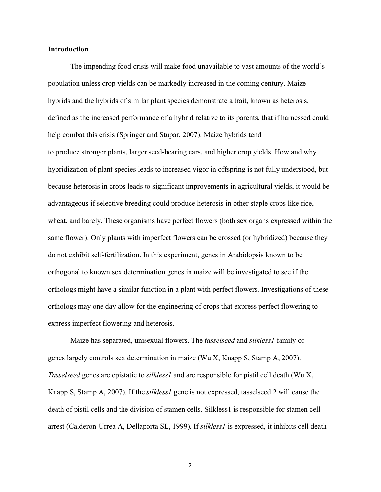### **Introduction**

The impending food crisis will make food unavailable to vast amounts of the world's population unless crop yields can be markedly increased in the coming century. Maize hybrids and the hybrids of similar plant species demonstrate a trait, known as heterosis, defined as the increased performance of a hybrid relative to its parents, that if harnessed could help combat this crisis (Springer and Stupar, 2007). Maize hybrids tend to produce stronger plants, larger seed-bearing ears, and higher crop yields. How and why hybridization of plant species leads to increased vigor in offspring is not fully understood, but because heterosis in crops leads to significant improvements in agricultural yields, it would be advantageous if selective breeding could produce heterosis in other staple crops like rice, wheat, and barely. These organisms have perfect flowers (both sex organs expressed within the same flower). Only plants with imperfect flowers can be crossed (or hybridized) because they do not exhibit self-fertilization. In this experiment, genes in Arabidopsis known to be orthogonal to known sex determination genes in maize will be investigated to see if the orthologs might have a similar function in a plant with perfect flowers. Investigations of these orthologs may one day allow for the engineering of crops that express perfect flowering to express imperfect flowering and heterosis.

Maize has separated, unisexual flowers. The *tasselseed* and *silkless1* family of genes largely controls sex determination in maize (Wu X, Knapp S, Stamp A, 2007). *Tasselseed* genes are epistatic to *silkless1* and are responsible for pistil cell death (Wu X, Knapp S, Stamp A, 2007). If the *silkless1* gene is not expressed, tasselseed 2 will cause the death of pistil cells and the division of stamen cells. Silkless1 is responsible for stamen cell arrest (Calderon-Urrea A, Dellaporta SL, 1999). If *silkless1* is expressed, it inhibits cell death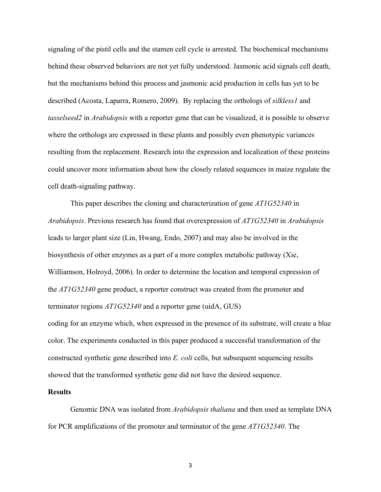signaling of the pistil cells and the stamen cell cycle is arrested. The biochemical mechanisms behind these observed behaviors are not yet fully understood. Jasmonic acid signals cell death, but the mechanisms behind this process and jasmonic acid production in cells has yet to be described (Acosta, Laparra, Romero, 2009). By replacing the orthologs of *silkless1* and *tasselseed2* in *Arabidopsis* with a reporter gene that can be visualized, it is possible to observe where the orthologs are expressed in these plants and possibly even phenotypic variances resulting from the replacement. Research into the expression and localization of these proteins could uncover more information about how the closely related sequences in maize regulate the cell death-signaling pathway.

This paper describes the cloning and characterization of gene *AT1G52340* in *Arabidopsis*. Previous research has found that overexpression of *AT1G52340* in *Arabidopsis*  leads to larger plant size (Lin, Hwang, Endo, 2007) and may also be involved in the biosynthesis of other enzymes as a part of a more complex metabolic pathway (Xie, Williamson, Holroyd, 2006). In order to determine the location and temporal expression of the *AT1G52340* gene product, a reporter construct was created from the promoter and terminator regions *AT1G52340* and a reporter gene (uidA, GUS) coding for an enzyme which, when expressed in the presence of its substrate, will create a blue color. The experiments conducted in this paper produced a successful transformation of the constructed synthetic gene described into *E. coli* cells, but subsequent sequencing results showed that the transformed synthetic gene did not have the desired sequence.

#### **Results**

Genomic DNA was isolated from *Arabidopsis thaliana* and then used as template DNA for PCR amplifications of the promoter and terminator of the gene *AT1G52340*. The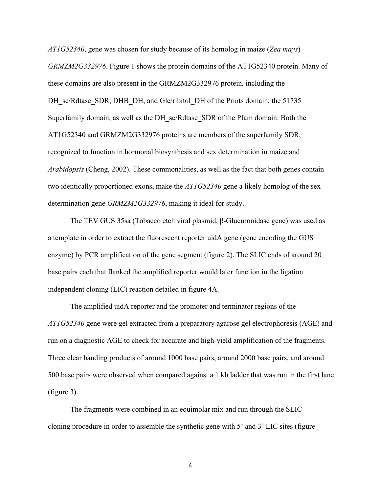*AT1G52340*, gene was chosen for study because of its homolog in maize (*Zea mays*) *GRMZM2G332976*. Figure 1 shows the protein domains of the AT1G52340 protein. Many of these domains are also present in the GRMZM2G332976 protein, including the DH sc/Rdtase SDR, DHB DH, and Glc/ribitol DH of the Prints domain, the 51735 Superfamily domain, as well as the DH\_sc/Rdtase\_SDR of the Pfam domain. Both the AT1G52340 and GRMZM2G332976 proteins are members of the superfamily SDR, recognized to function in hormonal biosynthesis and sex determination in maize and *Arabidopsis* (Cheng, 2002). These commonalities, as well as the fact that both genes contain two identically proportioned exons, make the *AT1G52340* gene a likely homolog of the sex determination gene *GRMZM2G332976*, making it ideal for study.

The TEV GUS 35sa (Tobacco etch viral plasmid, β-Glucuronidase gene) was used as a template in order to extract the fluorescent reporter uidA gene (gene encoding the GUS enzyme) by PCR amplification of the gene segment (figure 2). The SLIC ends of around 20 base pairs each that flanked the amplified reporter would later function in the ligation independent cloning (LIC) reaction detailed in figure 4A.

The amplified uidA reporter and the promoter and terminator regions of the *AT1G52340* gene were gel extracted from a preparatory agarose gel electrophoresis (AGE) and run on a diagnostic AGE to check for accurate and high-yield amplification of the fragments. Three clear banding products of around 1000 base pairs, around 2000 base pairs, and around 500 base pairs were observed when compared against a 1 kb ladder that was run in the first lane (figure 3).

The fragments were combined in an equimolar mix and run through the SLIC cloning procedure in order to assemble the synthetic gene with 5' and 3' LIC sites (figure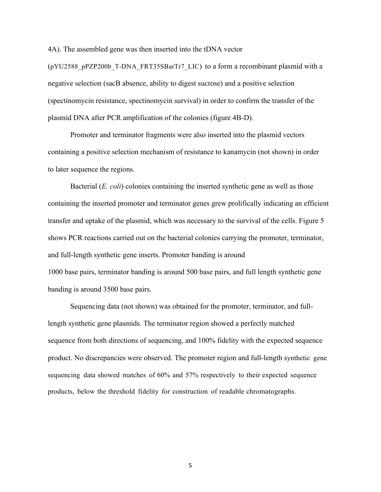4A). The assembled gene was then inserted into the tDNA vector

 $(pYU2588\ pPZP200b\ T-DNA\ FRT35SBaT17\ LIC)$  to a form a recombinant plasmid with a negative selection (sacB absence, ability to digest sucrose) and a positive selection (spectinomycin resistance, spectinomycin survival) in order to confirm the transfer of the plasmid DNA after PCR amplification of the colonies (figure 4B-D).

Promoter and terminator fragments were also inserted into the plasmid vectors containing a positive selection mechanism of resistance to kanamycin (not shown) in order to later sequence the regions.

Bacterial (*E. coli*) colonies containing the inserted synthetic gene as well as those containing the inserted promoter and terminator genes grew prolifically indicating an efficient transfer and uptake of the plasmid, which was necessary to the survival of the cells. Figure 5 shows PCR reactions carried out on the bacterial colonies carrying the promoter, terminator, and full-length synthetic gene inserts. Promoter banding is around 1000 base pairs, terminator banding is around 500 base pairs, and full length synthetic gene banding is around 3500 base pairs.

Sequencing data (not shown) was obtained for the promoter, terminator, and fulllength synthetic gene plasmids. The terminator region showed a perfectly matched sequence from both directions of sequencing, and 100% fidelity with the expected sequence product. No discrepancies were observed. The promoter region and full-length synthetic gene sequencing data showed matches of 60% and 57% respectively to their expected sequence products, below the threshold fidelity for construction of readable chromatographs.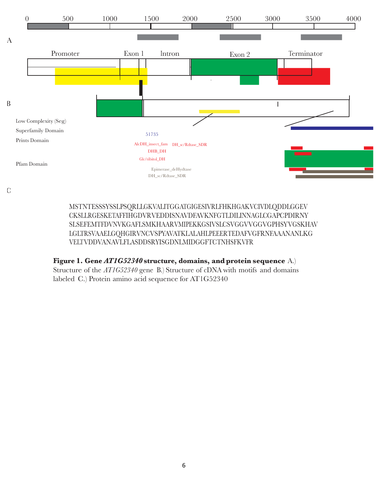

C

MSTNTESSSYSSLPSQRLLGKVALITGGATGIGESIVRLFHKHGAKVCIVDLQDDLGGEV CKSLLRGESKETAFFIHGDVRVEDDISNAVDFAVKNFGTLDILINNAGLCGAPCPDIRNY SLSEFEMTFDVNVKGAFLSMKHAARVMIPEKKGSIVSLCSVGGVVGGVGPHSYVGSKHAV LGLTRSVAAELGQHGIRVNCVSPYAVATKLALAHLPEEERTEDAFVGFRNFAAANANLKG VELTVDDVANAVLFLASDDSRYISGDNLMIDGGFTCTNHSFKVFR

# **Figure 1. Gene** *AT1G52340* **structure, domains, and protein sequence** A.)

Structure of the *AT1G52340* gene B.) Structure of cDNA with motifs and domains labeled C.) Protein amino acid sequence for AT1G52340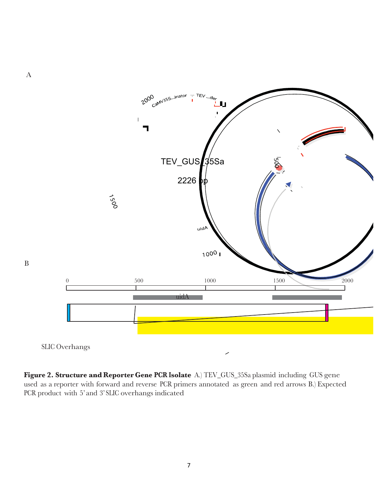

**Figure 2. Structure and Reporter Gene PCR Isolate** A.) TEV\_GUS\_35Sa plasmid including GUS gene used as a reporter with forward and reverse PCR primers annotated as green and red arrows B.) Expected PCR product with 5' and 3' SLIC overhangs indicated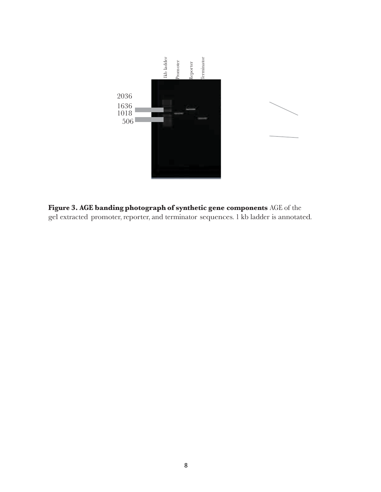

**Figure 3. AGE banding photograph of synthetic gene components** AGE of the gel extracted promoter, reporter, and terminator sequences. 1 kb ladder is annotated.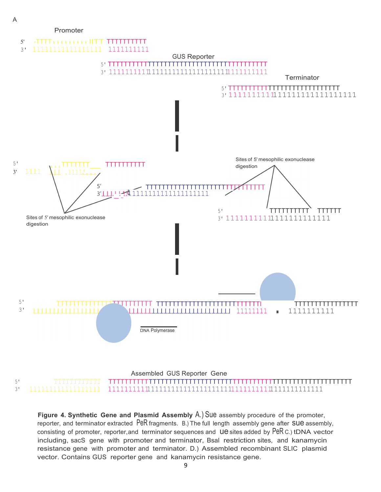

**Figure 4. Synthetic Gene and Plasmid Assembly** A.) Sue assembly procedure of the promoter, reporter, and terminator extracted PeR fragments. B.) The full length assembly gene after SUE assembly, consisting of promoter, reporter, and terminator sequences and Ue sites added by PeR C.) tDNA vector including, sacS gene with promoter and terminator, Bsal restriction sites, and kanamycin resistance gene with promoter and terminator. D.) Assembled recombinant SLIC plasmid vector. Contains GUS reporter gene and kanamycin resistance gene.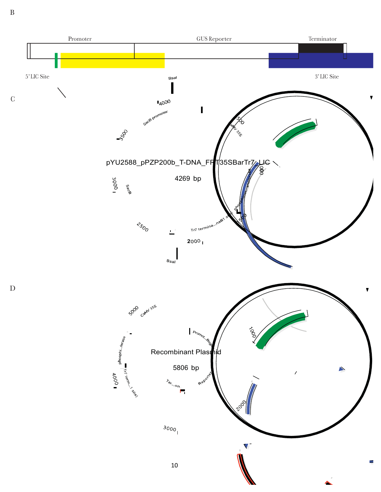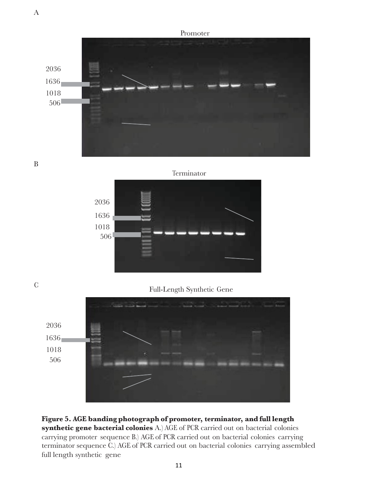Promoter 2036 1636 1018 506

B





<sup>C</sup> Full-Length Synthetic Gene



## **Figure 5. AGE banding photograph of promoter, terminator, and full length synthetic gene bacterial colonies** A.) AGE of PCR carried out on bacterial colonies

carrying promoter sequence B.) AGE of PCR carried out on bacterial colonies carrying terminator sequence C.) AGE of PCR carried out on bacterial colonies carrying assembled full length synthetic gene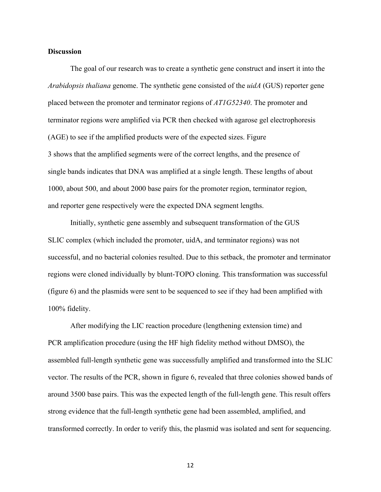### **Discussion**

The goal of our research was to create a synthetic gene construct and insert it into the *Arabidopsis thaliana* genome. The synthetic gene consisted of the *uidA* (GUS) reporter gene placed between the promoter and terminator regions of *AT1G52340*. The promoter and terminator regions were amplified via PCR then checked with agarose gel electrophoresis (AGE) to see if the amplified products were of the expected sizes. Figure 3 shows that the amplified segments were of the correct lengths, and the presence of single bands indicates that DNA was amplified at a single length. These lengths of about 1000, about 500, and about 2000 base pairs for the promoter region, terminator region, and reporter gene respectively were the expected DNA segment lengths.

Initially, synthetic gene assembly and subsequent transformation of the GUS SLIC complex (which included the promoter, uidA, and terminator regions) was not successful, and no bacterial colonies resulted. Due to this setback, the promoter and terminator regions were cloned individually by blunt-TOPO cloning. This transformation was successful (figure 6) and the plasmids were sent to be sequenced to see if they had been amplified with 100% fidelity.

After modifying the LIC reaction procedure (lengthening extension time) and PCR amplification procedure (using the HF high fidelity method without DMSO), the assembled full-length synthetic gene was successfully amplified and transformed into the SLIC vector. The results of the PCR, shown in figure 6, revealed that three colonies showed bands of around 3500 base pairs. This was the expected length of the full-length gene. This result offers strong evidence that the full-length synthetic gene had been assembled, amplified, and transformed correctly. In order to verify this, the plasmid was isolated and sent for sequencing.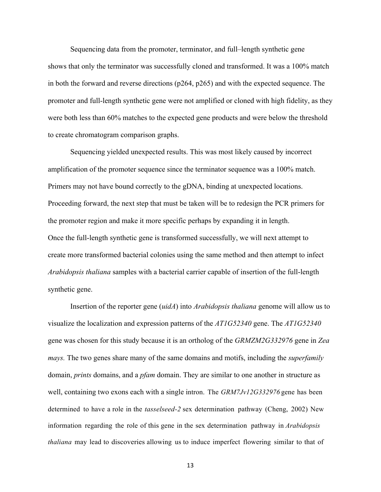Sequencing data from the promoter, terminator, and full–length synthetic gene shows that only the terminator was successfully cloned and transformed. It was a 100% match in both the forward and reverse directions (p264, p265) and with the expected sequence. The promoter and full-length synthetic gene were not amplified or cloned with high fidelity, as they were both less than 60% matches to the expected gene products and were below the threshold to create chromatogram comparison graphs.

Sequencing yielded unexpected results. This was most likely caused by incorrect amplification of the promoter sequence since the terminator sequence was a 100% match. Primers may not have bound correctly to the gDNA, binding at unexpected locations. Proceeding forward, the next step that must be taken will be to redesign the PCR primers for the promoter region and make it more specific perhaps by expanding it in length. Once the full-length synthetic gene is transformed successfully, we will next attempt to create more transformed bacterial colonies using the same method and then attempt to infect *Arabidopsis thaliana* samples with a bacterial carrier capable of insertion of the full-length synthetic gene.

Insertion of the reporter gene (*uidA*) into *Arabidopsis thaliana* genome will allow us to visualize the localization and expression patterns of the *AT1G52340* gene. The *AT1G52340*  gene was chosen for this study because it is an ortholog of the *GRMZM2G332976* gene in *Zea mays.* The two genes share many of the same domains and motifs, including the *superfamily*  domain, *prints* domains, and a *pfam* domain. They are similar to one another in structure as well, containing two exons each with a single intron. The *GRM7Jv12G332976* gene has been determined to have a role in the *tasselseed-2* sex determination pathway (Cheng, 2002) New information regarding the role of this gene in the sex determination pathway in *Arabidopsis thaliana* may lead to discoveries allowing us to induce imperfect flowering similar to that of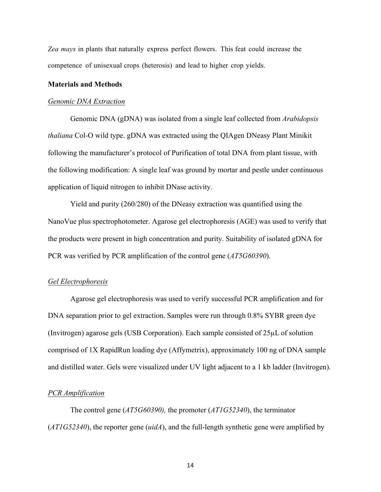*Zea mays* in plants that naturally express perfect flowers. This feat could increase the competence of unisexual crops (heterosis) and lead to higher crop yields.

#### **Materials and Methods**

#### *Genomic DNA Extraction*

Genomic DNA (gDNA) was isolated from a single leaf collected from *Arabidopsis thaliana* Col-O wild type. gDNA was extracted using the QIAgen DNeasy Plant Minikit following the manufacturer's protocol of Purification of total DNA from plant tissue, with the following modification: A single leaf was ground by mortar and pestle under continuous application of liquid nitrogen to inhibit DNase activity.

Yield and purity (260/280) of the DNeasy extraction was quantified using the NanoVue plus spectrophotometer. Agarose gel electrophoresis (AGE) was used to verify that the products were present in high concentration and purity. Suitability of isolated gDNA for PCR was verified by PCR amplification of the control gene (*AT5G60390*).

#### *Gel Electrophoresis*

Agarose gel electrophoresis was used to verify successful PCR amplification and for DNA separation prior to gel extraction. Samples were run through 0.8% SYBR green dye (Invitrogen) agarose gels (USB Corporation). Each sample consisted of 25µL of solution comprised of 1X RapidRun loading dye (Affymetrix), approximately 100 ng of DNA sample and distilled water. Gels were visualized under UV light adjacent to a 1 kb ladder (Invitrogen).

### *PCR Amplification*

The control gene (*AT5G60390),* the promoter (*AT1G52340*), the terminator (*AT1G52340*), the reporter gene (*uidA*), and the full-length synthetic gene were amplified by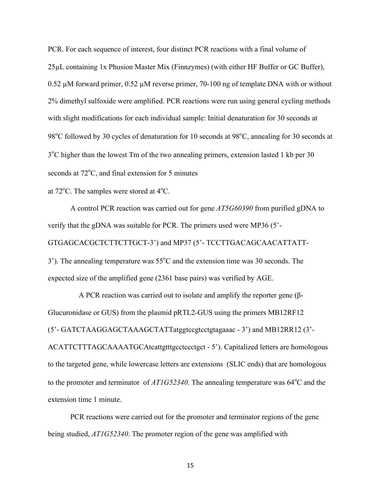PCR. For each sequence of interest, four distinct PCR reactions with a final volume of 25µL containing 1x Phusion Master Mix (Finnzymes) (with either HF Buffer or GC Buffer), 0.52 µM forward primer, 0.52 µM reverse primer, 70-100 ng of template DNA with or without 2% dimethyl sulfoxide were amplified. PCR reactions were run using general cycling methods with slight modifications for each individual sample: Initial denaturation for 30 seconds at 98°C followed by 30 cycles of denaturation for 10 seconds at 98°C, annealing for 30 seconds at 3<sup>o</sup>C higher than the lowest Tm of the two annealing primers, extension lasted 1 kb per 30 seconds at 72°C, and final extension for 5 minutes

at  $72^{\circ}$ C. The samples were stored at  $4^{\circ}$ C.

A control PCR reaction was carried out for gene *AT5G60390* from purified gDNA to verify that the gDNA was suitable for PCR. The primers used were MP36 (5'- GTGAGCACGCTCTTCTTGCT-3') and MP37 (5'- TCCTTGACAGCAACATTATT-3'). The annealing temperature was  $55^{\circ}$ C and the extension time was 30 seconds. The expected size of the amplified gene (2361 base pairs) was verified by AGE.

A PCR reaction was carried out to isolate and amplify the reporter gene (β-Glucuronidase or GUS) from the plasmid pRTL2-GUS using the primers MB12RF12 (5'- GATCTAAGGAGCTAAAGCTATTatggtccgtcctgtagaaac - 3') and MB12RR12 (3'- ACATTCTTTAGCAAAATGCAtcattgtttgcctccctgct - 5'). Capitalized letters are homologous to the targeted gene, while lowercase letters are extensions (SLIC ends) that are homologous to the promoter and terminator of  $ATIG52340$ . The annealing temperature was  $64^{\circ}$ C and the extension time 1 minute.

PCR reactions were carried out for the promoter and terminator regions of the gene being studied, *AT1G52340*. The promoter region of the gene was amplified with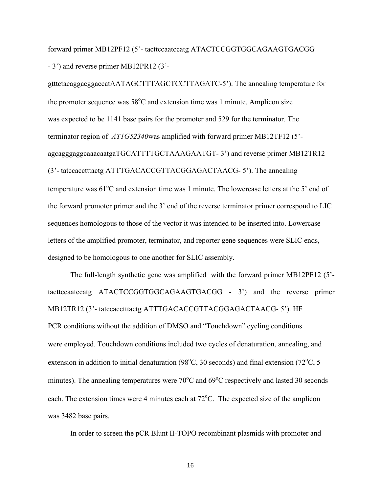forward primer MB12PF12 (5'- tacttccaatccatg ATACTCCGGTGGCAGAAGTGACGG - 3') and reverse primer MB12PR12 (3'-

gtttctacaggacggaccatAATAGCTTTAGCTCCTTAGATC-5'). The annealing temperature for the promoter sequence was  $58^{\circ}$ C and extension time was 1 minute. Amplicon size was expected to be 1141 base pairs for the promoter and 529 for the terminator. The terminator region of *AT1G52340*was amplified with forward primer MB12TF12 (5' agcagggaggcaaacaatgaTGCATTTTGCTAAAGAATGT- 3') and reverse primer MB12TR12 (3'- tatccacctttactg ATTTGACACCGTTACGGAGACTAACG- 5'). The annealing temperature was  $61^{\circ}$ C and extension time was 1 minute. The lowercase letters at the 5' end of the forward promoter primer and the 3' end of the reverse terminator primer correspond to LIC sequences homologous to those of the vector it was intended to be inserted into. Lowercase letters of the amplified promoter, terminator, and reporter gene sequences were SLIC ends, designed to be homologous to one another for SLIC assembly.

The full-length synthetic gene was amplified with the forward primer MB12PF12 (5' tacttccaatccatg ATACTCCGGTGGCAGAAGTGACGG - 3') and the reverse primer MB12TR12 (3'- tatccacctttactg ATTTGACACCGTTACGGAGACTAACG- 5'). HF PCR conditions without the addition of DMSO and "Touchdown" cycling conditions were employed. Touchdown conditions included two cycles of denaturation, annealing, and extension in addition to initial denaturation (98 $^{\circ}$ C, 30 seconds) and final extension (72 $^{\circ}$ C, 5 minutes). The annealing temperatures were  $70^{\circ}$ C and  $69^{\circ}$ C respectively and lasted 30 seconds each. The extension times were 4 minutes each at 72°C. The expected size of the amplicon was 3482 base pairs.

In order to screen the pCR Blunt II-TOPO recombinant plasmids with promoter and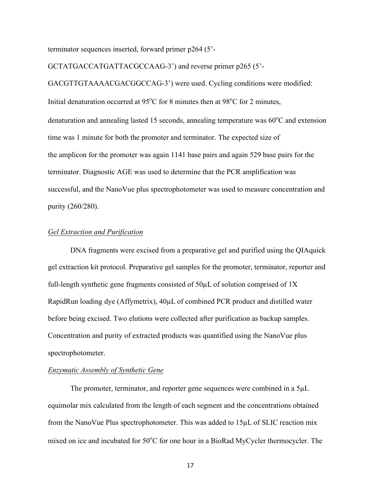terminator sequences inserted, forward primer p264 (5'-

GCTATGACCATGATTACGCCAAG-3') and reverse primer p265 (5'-

GACGTTGTAAAACGACGGCCAG-3') were used. Cycling conditions were modified: Initial denaturation occurred at  $95^{\circ}$ C for 8 minutes then at  $98^{\circ}$ C for 2 minutes, denaturation and annealing lasted 15 seconds, annealing temperature was 60°C and extension time was 1 minute for both the promoter and terminator. The expected size of the amplicon for the promoter was again 1141 base pairs and again 529 base pairs for the terminator. Diagnostic AGE was used to determine that the PCR amplification was successful, and the NanoVue plus spectrophotometer was used to measure concentration and purity (260/280).

### *Gel Extraction and Purification*

DNA fragments were excised from a preparative gel and purified using the QIAquick gel extraction kit protocol. Preparative gel samples for the promoter, terminator, reporter and full-length synthetic gene fragments consisted of  $50\mu$ L of solution comprised of 1X RapidRun loading dye (Affymetrix), 40µL of combined PCR product and distilled water before being excised. Two elutions were collected after purification as backup samples. Concentration and purity of extracted products was quantified using the NanoVue plus spectrophotometer.

### *Enzymatic Assembly of Synthetic Gene*

The promoter, terminator, and reporter gene sequences were combined in a 5µL equimolar mix calculated from the length of each segment and the concentrations obtained from the NanoVue Plus spectrophotometer. This was added to 15µL of SLIC reaction mix mixed on ice and incubated for 50°C for one hour in a BioRad MyCycler thermocycler. The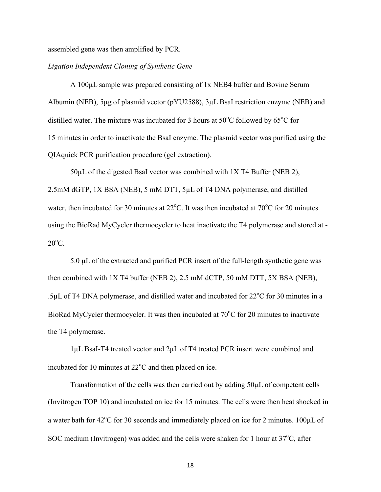assembled gene was then amplified by PCR.

### *Ligation Independent Cloning of Synthetic Gene*

A 100µL sample was prepared consisting of 1x NEB4 buffer and Bovine Serum Albumin (NEB), 5µg of plasmid vector (pYU2588), 3µL BsaI restriction enzyme (NEB) and distilled water. The mixture was incubated for 3 hours at  $50^{\circ}$ C followed by  $65^{\circ}$ C for 15 minutes in order to inactivate the BsaI enzyme. The plasmid vector was purified using the QIAquick PCR purification procedure (gel extraction).

50µL of the digested BsaI vector was combined with 1X T4 Buffer (NEB 2), 2.5mM dGTP, 1X BSA (NEB), 5 mM DTT, 5µL of T4 DNA polymerase, and distilled water, then incubated for 30 minutes at  $22^{\circ}$ C. It was then incubated at  $70^{\circ}$ C for 20 minutes using the BioRad MyCycler thermocycler to heat inactivate the T4 polymerase and stored at -  $20^{\circ}$ C.

5.0 µL of the extracted and purified PCR insert of the full-length synthetic gene was then combined with 1X T4 buffer (NEB 2), 2.5 mM dCTP, 50 mM DTT, 5X BSA (NEB), .5 $\mu$ L of T4 DNA polymerase, and distilled water and incubated for 22 $\degree$ C for 30 minutes in a BioRad MyCycler thermocycler. It was then incubated at  $70^{\circ}$ C for 20 minutes to inactivate the T4 polymerase.

1µL BsaI-T4 treated vector and 2µL of T4 treated PCR insert were combined and incubated for 10 minutes at  $22^{\circ}$ C and then placed on ice.

Transformation of the cells was then carried out by adding 50µL of competent cells (Invitrogen TOP 10) and incubated on ice for 15 minutes. The cells were then heat shocked in a water bath for  $42^{\circ}$ C for 30 seconds and immediately placed on ice for 2 minutes. 100 $\mu$ L of SOC medium (Invitrogen) was added and the cells were shaken for 1 hour at  $37^{\circ}$ C, after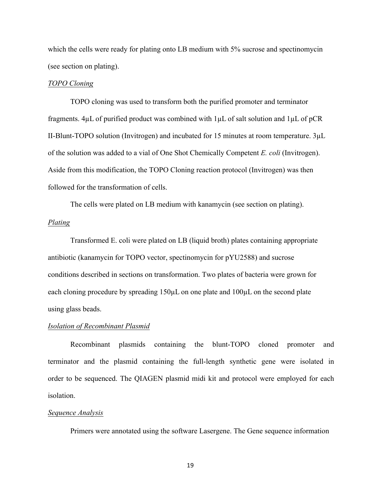which the cells were ready for plating onto LB medium with 5% sucrose and spectinomycin (see section on plating).

#### *TOPO Cloning*

TOPO cloning was used to transform both the purified promoter and terminator fragments. 4µL of purified product was combined with 1µL of salt solution and 1µL of pCR II-Blunt-TOPO solution (Invitrogen) and incubated for 15 minutes at room temperature. 3µL of the solution was added to a vial of One Shot Chemically Competent *E. coli* (Invitrogen). Aside from this modification, the TOPO Cloning reaction protocol (Invitrogen) was then followed for the transformation of cells.

The cells were plated on LB medium with kanamycin (see section on plating).

### *Plating*

Transformed E. coli were plated on LB (liquid broth) plates containing appropriate antibiotic (kanamycin for TOPO vector, spectinomycin for pYU2588) and sucrose conditions described in sections on transformation. Two plates of bacteria were grown for each cloning procedure by spreading 150µL on one plate and 100µL on the second plate using glass beads.

### *Isolation of Recombinant Plasmid*

Recombinant plasmids containing the blunt-TOPO cloned promoter and terminator and the plasmid containing the full-length synthetic gene were isolated in order to be sequenced. The QIAGEN plasmid midi kit and protocol were employed for each isolation.

#### *Sequence Analysis*

Primers were annotated using the software Lasergene. The Gene sequence information